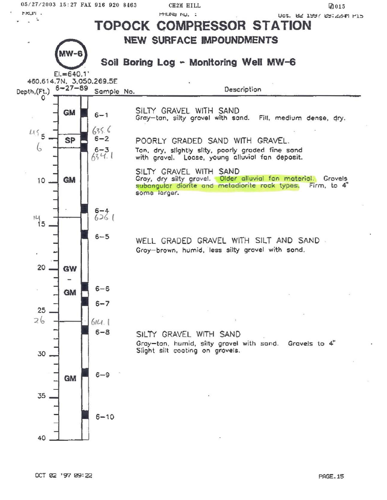Uct. 02 1997 09:22HM P15



 $6 - 10$ 

35

40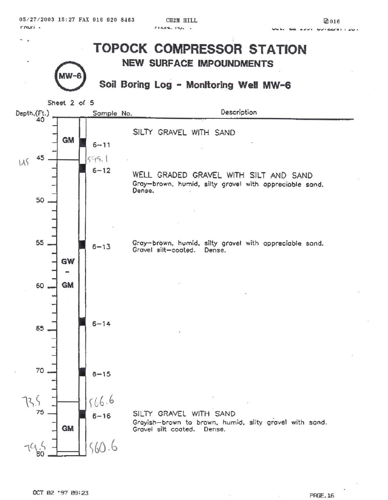*OS / 27 / 2003* **15 : 27 FAX 916 92 0 8463 CH2M HILL Jal 016** r~UI"I •



**OCT 02 '97 09:23** PAGE.16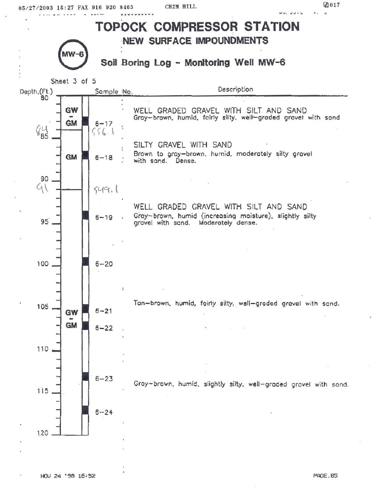CH2M HILL

 $\triangle$  017

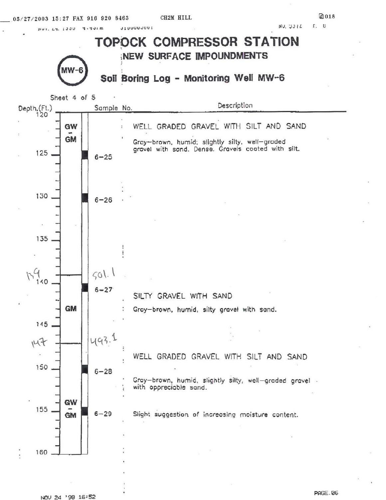

NOV 24 '98 16:52

**PAGE.06**